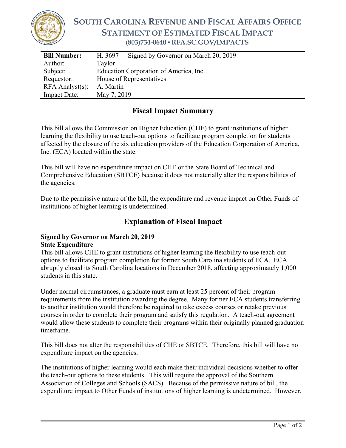

# **SOUTH CAROLINA REVENUE AND FISCAL AFFAIRS OFFICE STATEMENT OF ESTIMATED FISCAL IMPACT (803)734-0640 ▪ RFA.SC.GOV/IMPACTS**

| <b>Bill Number:</b>   | H. 3697                                | Signed by Governor on March 20, 2019 |
|-----------------------|----------------------------------------|--------------------------------------|
| Author:               | Taylor                                 |                                      |
| Subject:              | Education Corporation of America, Inc. |                                      |
| Requestor:            | House of Representatives               |                                      |
| $RFA$ Analyst $(s)$ : | A. Martin                              |                                      |
| <b>Impact Date:</b>   | May 7, 2019                            |                                      |

### **Fiscal Impact Summary**

This bill allows the Commission on Higher Education (CHE) to grant institutions of higher learning the flexibility to use teach-out options to facilitate program completion for students affected by the closure of the six education providers of the Education Corporation of America, Inc. (ECA) located within the state.

This bill will have no expenditure impact on CHE or the State Board of Technical and Comprehensive Education (SBTCE) because it does not materially alter the responsibilities of the agencies.

Due to the permissive nature of the bill, the expenditure and revenue impact on Other Funds of institutions of higher learning is undetermined.

## **Explanation of Fiscal Impact**

#### **Signed by Governor on March 20, 2019 State Expenditure**

This bill allows CHE to grant institutions of higher learning the flexibility to use teach-out options to facilitate program completion for former South Carolina students of ECA. ECA abruptly closed its South Carolina locations in December 2018, affecting approximately 1,000 students in this state.

Under normal circumstances, a graduate must earn at least 25 percent of their program requirements from the institution awarding the degree. Many former ECA students transferring to another institution would therefore be required to take excess courses or retake previous courses in order to complete their program and satisfy this regulation. A teach-out agreement would allow these students to complete their programs within their originally planned graduation timeframe.

This bill does not alter the responsibilities of CHE or SBTCE. Therefore, this bill will have no expenditure impact on the agencies.

The institutions of higher learning would each make their individual decisions whether to offer the teach-out options to these students. This will require the approval of the Southern Association of Colleges and Schools (SACS). Because of the permissive nature of bill, the expenditure impact to Other Funds of institutions of higher learning is undetermined. However,